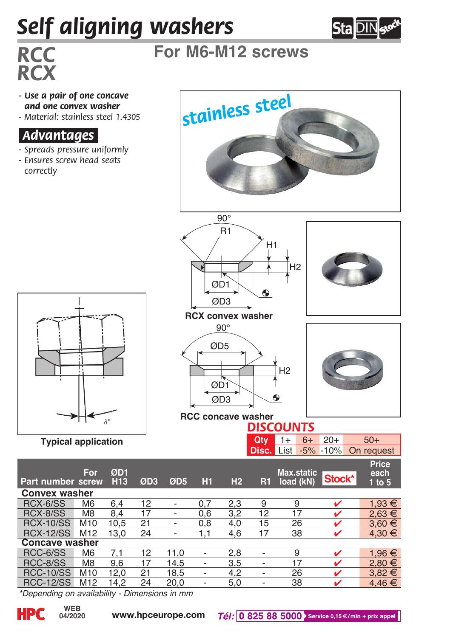## *Self aligning washers*



## *RCC* **For M6-M12 screws**

- *Use a pair of one concave and one convex washer - Material: stainless steel 1.4305*
- 

## *.Advantages.*

*RCX*

- *Spreads pressure uniformly*
- *Ensures screw head seats correctly*



*\*Depending on availability - Dimensions in mm*

**04/2020**

**Typical application**

**Convex washer**<br>RCX-6/SS M6

**Concave washer**

∂°